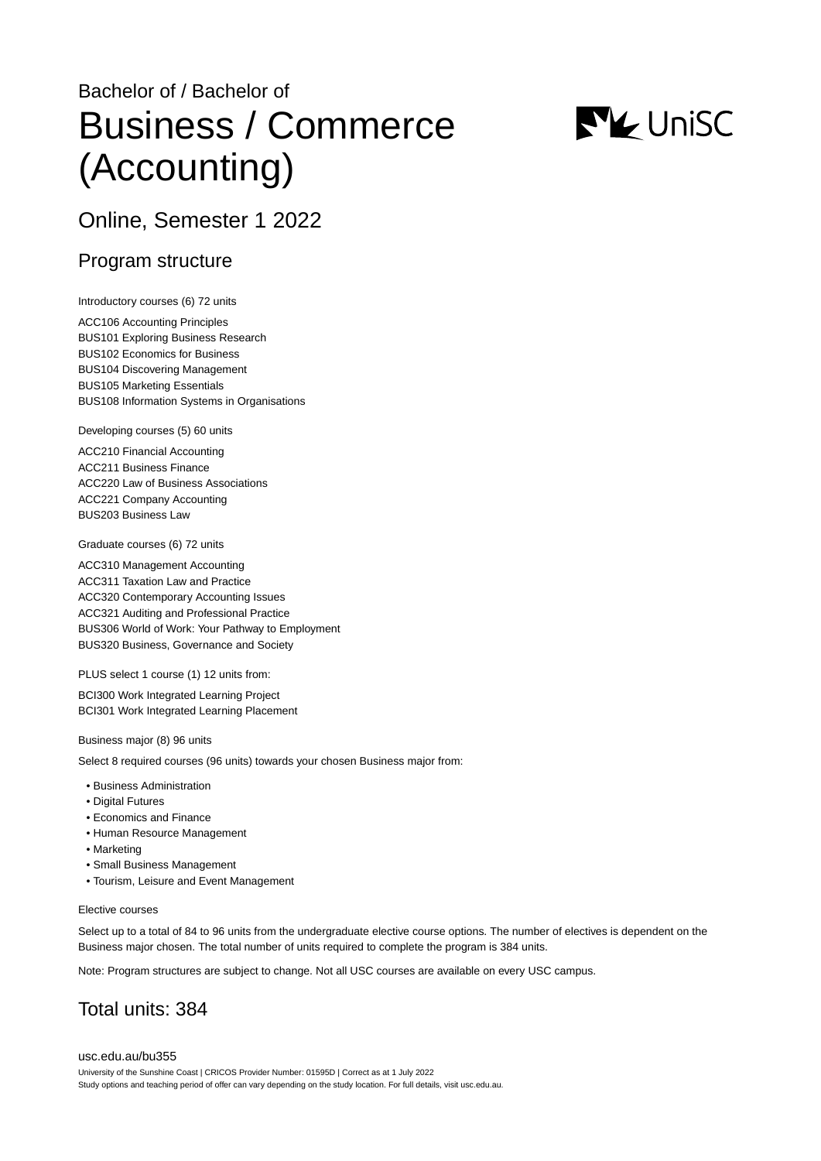# Bachelor of / Bachelor of Business / Commerce (Accounting)



# Online, Semester 1 2022

### Program structure

Introductory courses (6) 72 units

ACC106 Accounting Principles BUS101 Exploring Business Research BUS102 Economics for Business BUS104 Discovering Management BUS105 Marketing Essentials BUS108 Information Systems in Organisations

Developing courses (5) 60 units

ACC210 Financial Accounting ACC211 Business Finance ACC220 Law of Business Associations ACC221 Company Accounting BUS203 Business Law

Graduate courses (6) 72 units

ACC310 Management Accounting ACC311 Taxation Law and Practice ACC320 Contemporary Accounting Issues ACC321 Auditing and Professional Practice BUS306 World of Work: Your Pathway to Employment BUS320 Business, Governance and Society

PLUS select 1 course (1) 12 units from:

BCI300 Work Integrated Learning Project BCI301 Work Integrated Learning Placement

Business major (8) 96 units

Select 8 required courses (96 units) towards your chosen Business major from:

- Business Administration
- Digital Futures
- Economics and Finance
- Human Resource Management
- Marketing
- Small Business Management
- Tourism, Leisure and Event Management

#### Elective courses

Select up to a total of 84 to 96 units from the undergraduate elective course options. The number of electives is dependent on the Business major chosen. The total number of units required to complete the program is 384 units.

Note: Program structures are subject to change. Not all USC courses are available on every USC campus.

# Total units: 384

[usc.edu.au/bu355](https://www.usc.edu.au/bu355) University of the Sunshine Coast | CRICOS Provider Number: 01595D | Correct as at 1 July 2022 Study options and teaching period of offer can vary depending on the study location. For full details, visit usc.edu.au.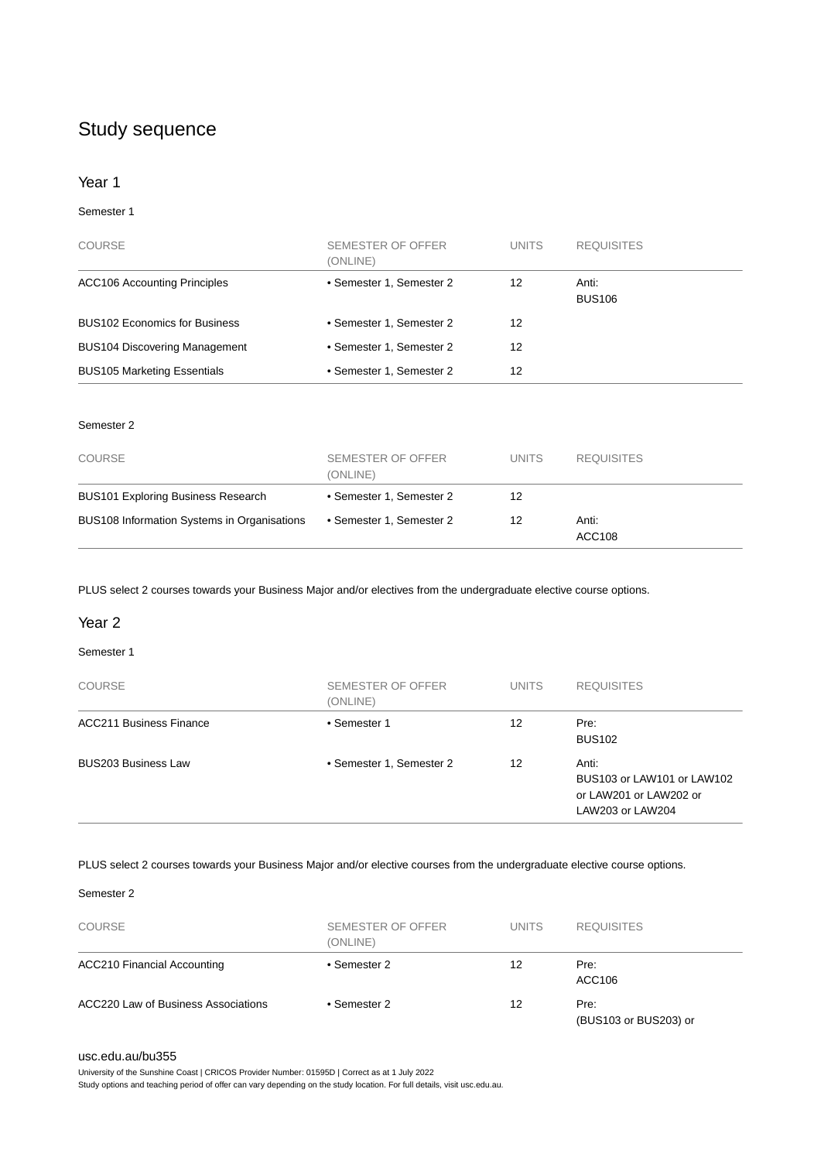# Study sequence

#### Year 1

#### Semester 1

| <b>COURSE</b>                        | SEMESTER OF OFFER<br>(ONLINE) | <b>UNITS</b> | <b>REQUISITES</b>      |
|--------------------------------------|-------------------------------|--------------|------------------------|
| <b>ACC106 Accounting Principles</b>  | • Semester 1, Semester 2      | 12           | Anti:<br><b>BUS106</b> |
| <b>BUS102 Economics for Business</b> | • Semester 1, Semester 2      | 12           |                        |
| <b>BUS104 Discovering Management</b> | • Semester 1, Semester 2      | 12           |                        |
| <b>BUS105 Marketing Essentials</b>   | • Semester 1, Semester 2      | 12           |                        |

#### Semester 2

| <b>COURSE</b>                               | SEMESTER OF OFFER<br>(ONLINE) | <b>UNITS</b> | <b>REQUISITES</b> |
|---------------------------------------------|-------------------------------|--------------|-------------------|
| <b>BUS101 Exploring Business Research</b>   | • Semester 1, Semester 2      | 12           |                   |
| BUS108 Information Systems in Organisations | • Semester 1, Semester 2      | 12           | Anti:<br>ACC108   |

PLUS select 2 courses towards your Business Major and/or electives from the undergraduate elective course options.

#### Year 2

#### Semester 1

| <b>COURSE</b>                  | SEMESTER OF OFFER<br>(ONLINE) | <b>UNITS</b> | <b>REQUISITES</b>                                                                 |
|--------------------------------|-------------------------------|--------------|-----------------------------------------------------------------------------------|
| <b>ACC211 Business Finance</b> | • Semester 1                  | 12           | Pre:<br><b>BUS102</b>                                                             |
| <b>BUS203 Business Law</b>     | • Semester 1, Semester 2      | 12           | Anti:<br>BUS103 or LAW101 or LAW102<br>or LAW201 or LAW202 or<br>LAW203 or LAW204 |

#### PLUS select 2 courses towards your Business Major and/or elective courses from the undergraduate elective course options.

#### Semester 2

| <b>COURSE</b>                       | SEMESTER OF OFFER<br>(ONLINE) | <b>UNITS</b> | <b>REQUISITES</b>             |
|-------------------------------------|-------------------------------|--------------|-------------------------------|
| <b>ACC210 Financial Accounting</b>  | • Semester 2                  | 12           | Pre:<br>ACC106                |
| ACC220 Law of Business Associations | • Semester 2                  | 12           | Pre:<br>(BUS103 or BUS203) or |

#### [usc.edu.au/bu355](https://www.usc.edu.au/bu355)

University of the Sunshine Coast | CRICOS Provider Number: 01595D | Correct as at 1 July 2022 Study options and teaching period of offer can vary depending on the study location. For full details, visit usc.edu.au.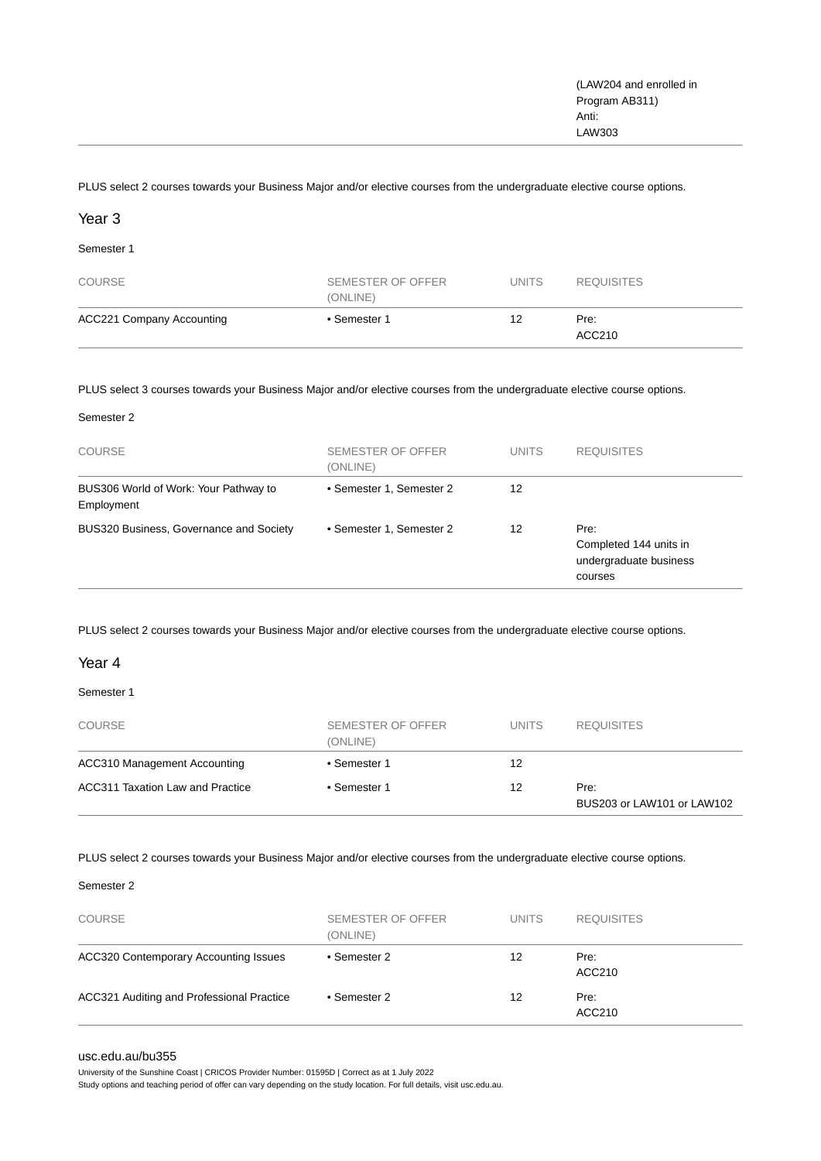PLUS select 2 courses towards your Business Major and/or elective courses from the undergraduate elective course options.

#### Year 3

Semester 1

| <b>COURSE</b>             | SEMESTER OF OFFER<br>(ONLINE) | <b>UNITS</b> | <b>REQUISITES</b> |
|---------------------------|-------------------------------|--------------|-------------------|
| ACC221 Company Accounting | • Semester 1                  | 12           | Pre:<br>ACC210    |

PLUS select 3 courses towards your Business Major and/or elective courses from the undergraduate elective course options.

#### Semester 2

| <b>COURSE</b>                                       | SEMESTER OF OFFER<br>(ONLINE) | <b>UNITS</b> | <b>REQUISITES</b>                                                   |
|-----------------------------------------------------|-------------------------------|--------------|---------------------------------------------------------------------|
| BUS306 World of Work: Your Pathway to<br>Employment | • Semester 1, Semester 2      | 12           |                                                                     |
| BUS320 Business, Governance and Society             | • Semester 1, Semester 2      | 12           | Pre:<br>Completed 144 units in<br>undergraduate business<br>courses |

PLUS select 2 courses towards your Business Major and/or elective courses from the undergraduate elective course options.

#### Year 4

#### Semester 1

| <b>COURSE</b>                    | SEMESTER OF OFFER<br>(ONLINE) | <b>UNITS</b> | <b>REQUISITES</b>                  |
|----------------------------------|-------------------------------|--------------|------------------------------------|
| ACC310 Management Accounting     | • Semester 1                  | 12           |                                    |
| ACC311 Taxation Law and Practice | • Semester 1                  | 12           | Pre:<br>BUS203 or LAW101 or LAW102 |

PLUS select 2 courses towards your Business Major and/or elective courses from the undergraduate elective course options.

#### Semester 2

| <b>COURSE</b>                                | SEMESTER OF OFFER<br>(ONLINE) | <b>UNITS</b> | <b>REQUISITES</b> |
|----------------------------------------------|-------------------------------|--------------|-------------------|
| <b>ACC320 Contemporary Accounting Issues</b> | • Semester 2                  | 12           | Pre:<br>ACC210    |
| ACC321 Auditing and Professional Practice    | • Semester 2                  | 12           | Pre:<br>ACC210    |

#### [usc.edu.au/bu355](https://www.usc.edu.au/bu355)

University of the Sunshine Coast | CRICOS Provider Number: 01595D | Correct as at 1 July 2022

Study options and teaching period of offer can vary depending on the study location. For full details, visit usc.edu.au.